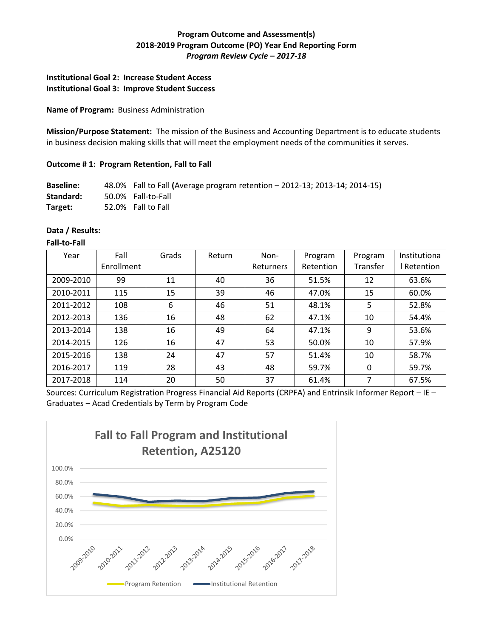# **Program Outcome and Assessment(s) 2018-2019 Program Outcome (PO) Year End Reporting Form** *Program Review Cycle – 2017-18*

## **Institutional Goal 2: Increase Student Access Institutional Goal 3: Improve Student Success**

#### **Name of Program:** Business Administration

**Mission/Purpose Statement:** The mission of the Business and Accounting Department is to educate students in business decision making skills that will meet the employment needs of the communities it serves.

### **Outcome # 1: Program Retention, Fall to Fall**

| <b>Baseline:</b> | 48.0% Fall to Fall (Average program retention - 2012-13; 2013-14; 2014-15) |
|------------------|----------------------------------------------------------------------------|
| Standard:        | 50.0% Fall-to-Fall                                                         |
| Target:          | 52.0% Fall to Fall                                                         |

#### **Data / Results:**

#### **Fall-to-Fall**

| Year      | Fall       | Grads | Return | Non-             | Program   | Program  | Institutiona |
|-----------|------------|-------|--------|------------------|-----------|----------|--------------|
|           | Enrollment |       |        | <b>Returners</b> | Retention | Transfer | Retention    |
| 2009-2010 | 99         | 11    | 40     | 36               | 51.5%     | 12       | 63.6%        |
| 2010-2011 | 115        | 15    | 39     | 46               | 47.0%     | 15       | 60.0%        |
| 2011-2012 | 108        | 6     | 46     | 51               | 48.1%     | 5        | 52.8%        |
| 2012-2013 | 136        | 16    | 48     | 62               | 47.1%     | 10       | 54.4%        |
| 2013-2014 | 138        | 16    | 49     | 64               | 47.1%     | 9        | 53.6%        |
| 2014-2015 | 126        | 16    | 47     | 53               | 50.0%     | 10       | 57.9%        |
| 2015-2016 | 138        | 24    | 47     | 57               | 51.4%     | 10       | 58.7%        |
| 2016-2017 | 119        | 28    | 43     | 48               | 59.7%     | 0        | 59.7%        |
| 2017-2018 | 114        | 20    | 50     | 37               | 61.4%     | 7        | 67.5%        |

Sources: Curriculum Registration Progress Financial Aid Reports (CRPFA) and Entrinsik Informer Report – IE – Graduates – Acad Credentials by Term by Program Code

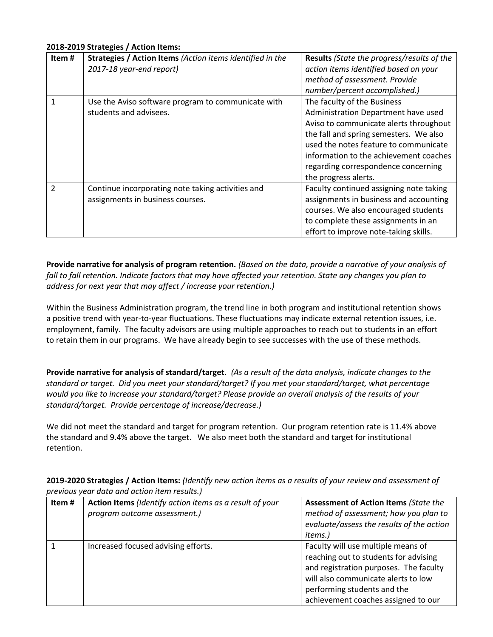### **2018-2019 Strategies / Action Items:**

| Item#         | Strategies / Action Items (Action items identified in the<br>2017-18 year-end report) | Results (State the progress/results of the<br>action items identified based on your<br>method of assessment. Provide<br>number/percent accomplished.)                                                                                                                                                    |
|---------------|---------------------------------------------------------------------------------------|----------------------------------------------------------------------------------------------------------------------------------------------------------------------------------------------------------------------------------------------------------------------------------------------------------|
|               | Use the Aviso software program to communicate with<br>students and advisees.          | The faculty of the Business<br>Administration Department have used<br>Aviso to communicate alerts throughout<br>the fall and spring semesters. We also<br>used the notes feature to communicate<br>information to the achievement coaches<br>regarding correspondence concerning<br>the progress alerts. |
| $\mathcal{P}$ | Continue incorporating note taking activities and<br>assignments in business courses. | Faculty continued assigning note taking<br>assignments in business and accounting<br>courses. We also encouraged students<br>to complete these assignments in an<br>effort to improve note-taking skills.                                                                                                |

**Provide narrative for analysis of program retention.** *(Based on the data, provide a narrative of your analysis of fall to fall retention. Indicate factors that may have affected your retention. State any changes you plan to address for next year that may affect / increase your retention.)* 

Within the Business Administration program, the trend line in both program and institutional retention shows a positive trend with year-to-year fluctuations. These fluctuations may indicate external retention issues, i.e. employment, family. The faculty advisors are using multiple approaches to reach out to students in an effort to retain them in our programs. We have already begin to see successes with the use of these methods.

**Provide narrative for analysis of standard/target.** *(As a result of the data analysis, indicate changes to the standard or target. Did you meet your standard/target? If you met your standard/target, what percentage would you like to increase your standard/target? Please provide an overall analysis of the results of your standard/target. Provide percentage of increase/decrease.)* 

We did not meet the standard and target for program retention. Our program retention rate is 11.4% above the standard and 9.4% above the target. We also meet both the standard and target for institutional retention.

**2019-2020 Strategies / Action Items:** *(Identify new action items as a results of your review and assessment of previous year data and action item results.)* 

| Item# | Action Items (Identify action items as a result of your<br>program outcome assessment.) | <b>Assessment of Action Items (State the</b><br>method of assessment; how you plan to<br>evaluate/assess the results of the action<br>items.)                                                                                      |
|-------|-----------------------------------------------------------------------------------------|------------------------------------------------------------------------------------------------------------------------------------------------------------------------------------------------------------------------------------|
|       | Increased focused advising efforts.                                                     | Faculty will use multiple means of<br>reaching out to students for advising<br>and registration purposes. The faculty<br>will also communicate alerts to low<br>performing students and the<br>achievement coaches assigned to our |